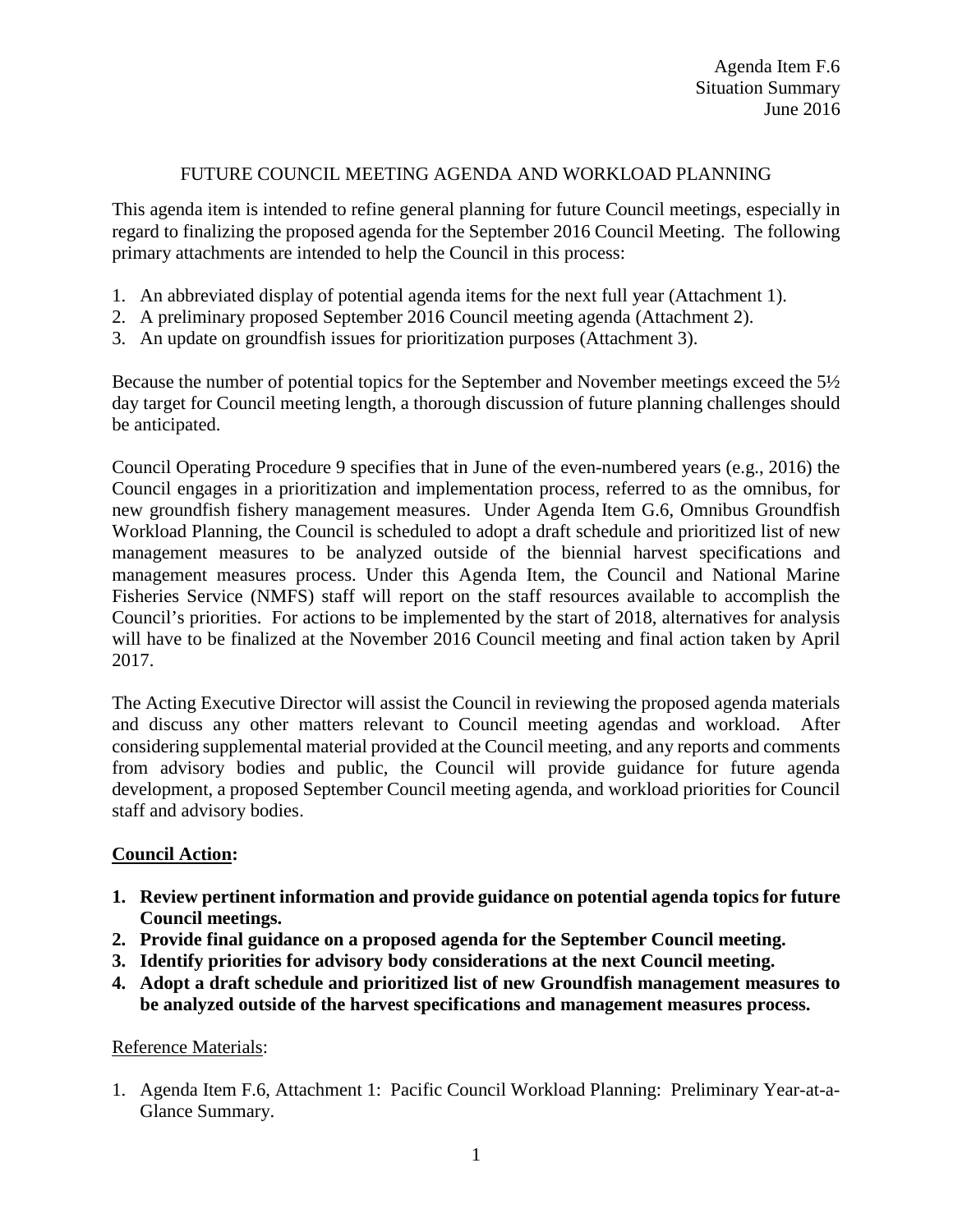## FUTURE COUNCIL MEETING AGENDA AND WORKLOAD PLANNING

This agenda item is intended to refine general planning for future Council meetings, especially in regard to finalizing the proposed agenda for the September 2016 Council Meeting. The following primary attachments are intended to help the Council in this process:

- 1. An abbreviated display of potential agenda items for the next full year (Attachment 1).
- 2. A preliminary proposed September 2016 Council meeting agenda (Attachment 2).
- 3. An update on groundfish issues for prioritization purposes (Attachment 3).

Because the number of potential topics for the September and November meetings exceed the 5½ day target for Council meeting length, a thorough discussion of future planning challenges should be anticipated.

Council Operating Procedure 9 specifies that in June of the even-numbered years (e.g., 2016) the Council engages in a prioritization and implementation process, referred to as the omnibus, for new groundfish fishery management measures. Under Agenda Item G.6, Omnibus Groundfish Workload Planning, the Council is scheduled to adopt a draft schedule and prioritized list of new management measures to be analyzed outside of the biennial harvest specifications and management measures process. Under this Agenda Item, the Council and National Marine Fisheries Service (NMFS) staff will report on the staff resources available to accomplish the Council's priorities. For actions to be implemented by the start of 2018, alternatives for analysis will have to be finalized at the November 2016 Council meeting and final action taken by April 2017.

The Acting Executive Director will assist the Council in reviewing the proposed agenda materials and discuss any other matters relevant to Council meeting agendas and workload. After considering supplemental material provided at the Council meeting, and any reports and comments from advisory bodies and public, the Council will provide guidance for future agenda development, a proposed September Council meeting agenda, and workload priorities for Council staff and advisory bodies.

## **Council Action:**

- **1. Review pertinent information and provide guidance on potential agenda topics for future Council meetings.**
- **2. Provide final guidance on a proposed agenda for the September Council meeting.**
- **3. Identify priorities for advisory body considerations at the next Council meeting.**
- **4. Adopt a draft schedule and prioritized list of new Groundfish management measures to be analyzed outside of the harvest specifications and management measures process.**

## Reference Materials:

1. Agenda Item F.6, Attachment 1: Pacific Council Workload Planning: Preliminary Year-at-a-Glance Summary.